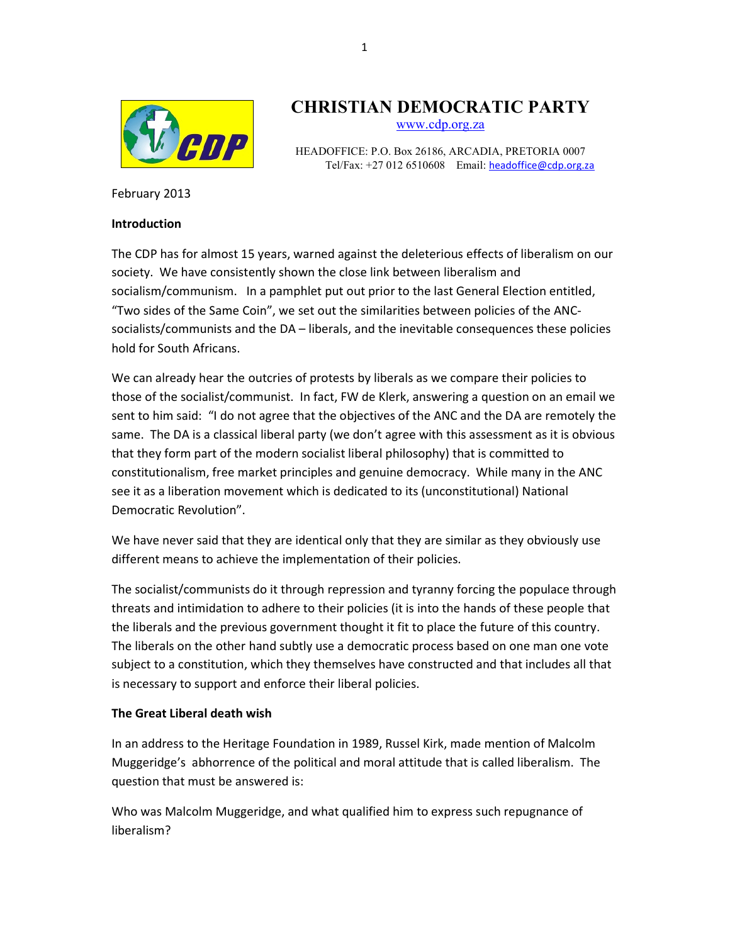

# CHRISTIAN DEMOCRATIC PARTY

www.cdp.org.za

HEADOFFICE: P.O. Box 26186, ARCADIA, PRETORIA 0007 Tel/Fax: +27 012 6510608 Email: headoffice@cdp.org.za

February 2013

#### Introduction

The CDP has for almost 15 years, warned against the deleterious effects of liberalism on our society. We have consistently shown the close link between liberalism and socialism/communism. In a pamphlet put out prior to the last General Election entitled, "Two sides of the Same Coin", we set out the similarities between policies of the ANCsocialists/communists and the DA – liberals, and the inevitable consequences these policies hold for South Africans.

We can already hear the outcries of protests by liberals as we compare their policies to those of the socialist/communist. In fact, FW de Klerk, answering a question on an email we sent to him said: "I do not agree that the objectives of the ANC and the DA are remotely the same. The DA is a classical liberal party (we don't agree with this assessment as it is obvious that they form part of the modern socialist liberal philosophy) that is committed to constitutionalism, free market principles and genuine democracy. While many in the ANC see it as a liberation movement which is dedicated to its (unconstitutional) National Democratic Revolution".

We have never said that they are identical only that they are similar as they obviously use different means to achieve the implementation of their policies.

The socialist/communists do it through repression and tyranny forcing the populace through threats and intimidation to adhere to their policies (it is into the hands of these people that the liberals and the previous government thought it fit to place the future of this country. The liberals on the other hand subtly use a democratic process based on one man one vote subject to a constitution, which they themselves have constructed and that includes all that is necessary to support and enforce their liberal policies.

### The Great Liberal death wish

In an address to the Heritage Foundation in 1989, Russel Kirk, made mention of Malcolm Muggeridge's abhorrence of the political and moral attitude that is called liberalism. The question that must be answered is:

Who was Malcolm Muggeridge, and what qualified him to express such repugnance of liberalism?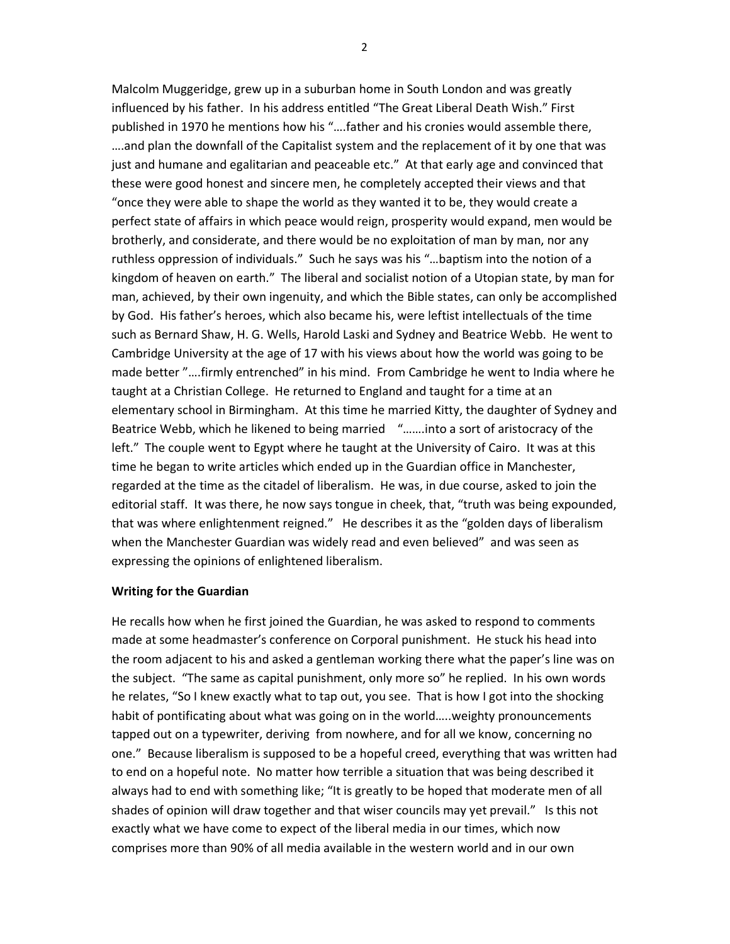Malcolm Muggeridge, grew up in a suburban home in South London and was greatly influenced by his father. In his address entitled "The Great Liberal Death Wish." First published in 1970 he mentions how his "….father and his cronies would assemble there, ….and plan the downfall of the Capitalist system and the replacement of it by one that was just and humane and egalitarian and peaceable etc." At that early age and convinced that these were good honest and sincere men, he completely accepted their views and that "once they were able to shape the world as they wanted it to be, they would create a perfect state of affairs in which peace would reign, prosperity would expand, men would be brotherly, and considerate, and there would be no exploitation of man by man, nor any ruthless oppression of individuals." Such he says was his "…baptism into the notion of a kingdom of heaven on earth." The liberal and socialist notion of a Utopian state, by man for man, achieved, by their own ingenuity, and which the Bible states, can only be accomplished by God. His father's heroes, which also became his, were leftist intellectuals of the time such as Bernard Shaw, H. G. Wells, Harold Laski and Sydney and Beatrice Webb. He went to Cambridge University at the age of 17 with his views about how the world was going to be made better "….firmly entrenched" in his mind. From Cambridge he went to India where he taught at a Christian College. He returned to England and taught for a time at an elementary school in Birmingham. At this time he married Kitty, the daughter of Sydney and Beatrice Webb, which he likened to being married "…….into a sort of aristocracy of the left." The couple went to Egypt where he taught at the University of Cairo. It was at this time he began to write articles which ended up in the Guardian office in Manchester, regarded at the time as the citadel of liberalism. He was, in due course, asked to join the editorial staff. It was there, he now says tongue in cheek, that, "truth was being expounded, that was where enlightenment reigned." He describes it as the "golden days of liberalism when the Manchester Guardian was widely read and even believed" and was seen as expressing the opinions of enlightened liberalism.

#### Writing for the Guardian

He recalls how when he first joined the Guardian, he was asked to respond to comments made at some headmaster's conference on Corporal punishment. He stuck his head into the room adjacent to his and asked a gentleman working there what the paper's line was on the subject. "The same as capital punishment, only more so" he replied. In his own words he relates, "So I knew exactly what to tap out, you see. That is how I got into the shocking habit of pontificating about what was going on in the world…..weighty pronouncements tapped out on a typewriter, deriving from nowhere, and for all we know, concerning no one." Because liberalism is supposed to be a hopeful creed, everything that was written had to end on a hopeful note. No matter how terrible a situation that was being described it always had to end with something like; "It is greatly to be hoped that moderate men of all shades of opinion will draw together and that wiser councils may yet prevail." Is this not exactly what we have come to expect of the liberal media in our times, which now comprises more than 90% of all media available in the western world and in our own

2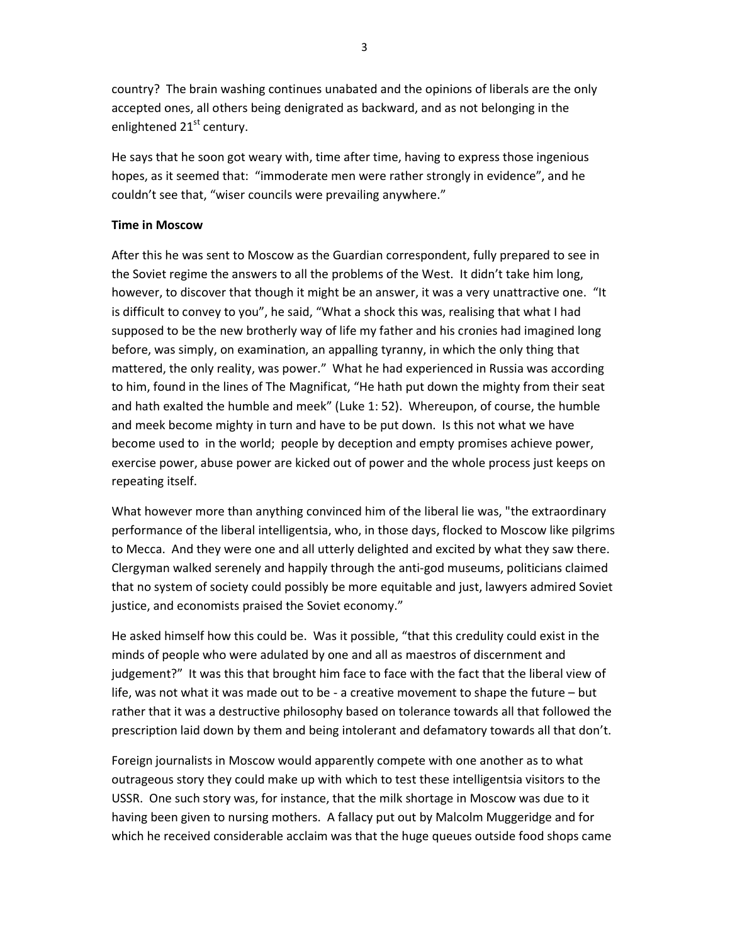country? The brain washing continues unabated and the opinions of liberals are the only accepted ones, all others being denigrated as backward, and as not belonging in the enlightened 21<sup>st</sup> century.

He says that he soon got weary with, time after time, having to express those ingenious hopes, as it seemed that: "immoderate men were rather strongly in evidence", and he couldn't see that, "wiser councils were prevailing anywhere."

#### Time in Moscow

After this he was sent to Moscow as the Guardian correspondent, fully prepared to see in the Soviet regime the answers to all the problems of the West. It didn't take him long, however, to discover that though it might be an answer, it was a very unattractive one. "It is difficult to convey to you", he said, "What a shock this was, realising that what I had supposed to be the new brotherly way of life my father and his cronies had imagined long before, was simply, on examination, an appalling tyranny, in which the only thing that mattered, the only reality, was power." What he had experienced in Russia was according to him, found in the lines of The Magnificat, "He hath put down the mighty from their seat and hath exalted the humble and meek" (Luke 1: 52). Whereupon, of course, the humble and meek become mighty in turn and have to be put down. Is this not what we have become used to in the world; people by deception and empty promises achieve power, exercise power, abuse power are kicked out of power and the whole process just keeps on repeating itself.

What however more than anything convinced him of the liberal lie was, "the extraordinary performance of the liberal intelligentsia, who, in those days, flocked to Moscow like pilgrims to Mecca. And they were one and all utterly delighted and excited by what they saw there. Clergyman walked serenely and happily through the anti-god museums, politicians claimed that no system of society could possibly be more equitable and just, lawyers admired Soviet justice, and economists praised the Soviet economy."

He asked himself how this could be. Was it possible, "that this credulity could exist in the minds of people who were adulated by one and all as maestros of discernment and judgement?" It was this that brought him face to face with the fact that the liberal view of life, was not what it was made out to be - a creative movement to shape the future – but rather that it was a destructive philosophy based on tolerance towards all that followed the prescription laid down by them and being intolerant and defamatory towards all that don't.

Foreign journalists in Moscow would apparently compete with one another as to what outrageous story they could make up with which to test these intelligentsia visitors to the USSR. One such story was, for instance, that the milk shortage in Moscow was due to it having been given to nursing mothers. A fallacy put out by Malcolm Muggeridge and for which he received considerable acclaim was that the huge queues outside food shops came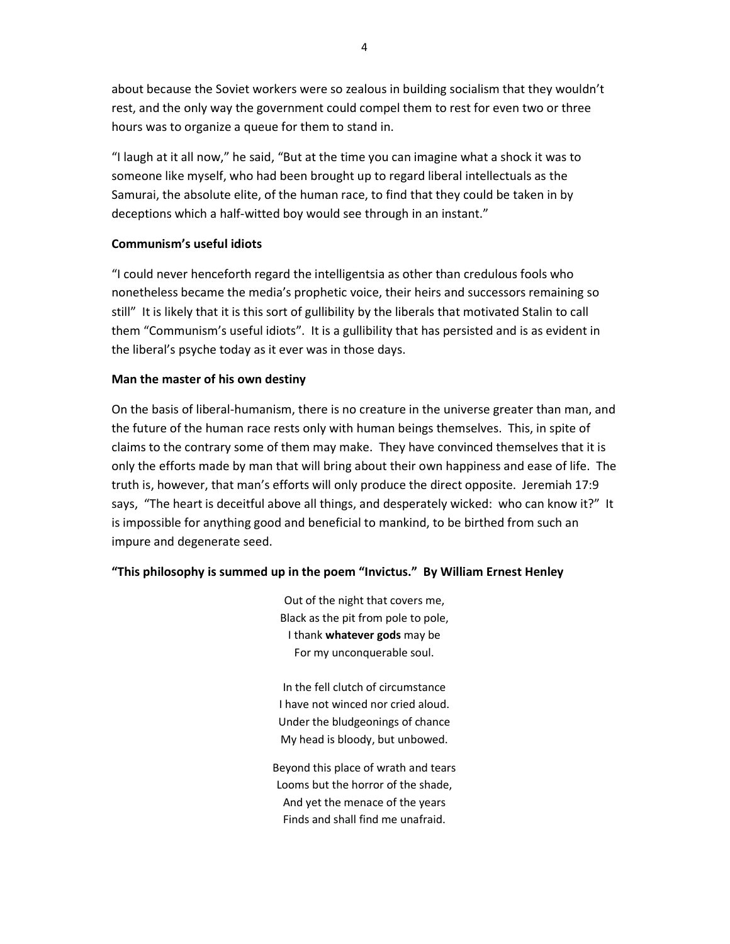about because the Soviet workers were so zealous in building socialism that they wouldn't rest, and the only way the government could compel them to rest for even two or three hours was to organize a queue for them to stand in.

"I laugh at it all now," he said, "But at the time you can imagine what a shock it was to someone like myself, who had been brought up to regard liberal intellectuals as the Samurai, the absolute elite, of the human race, to find that they could be taken in by deceptions which a half-witted boy would see through in an instant."

### Communism's useful idiots

"I could never henceforth regard the intelligentsia as other than credulous fools who nonetheless became the media's prophetic voice, their heirs and successors remaining so still" It is likely that it is this sort of gullibility by the liberals that motivated Stalin to call them "Communism's useful idiots". It is a gullibility that has persisted and is as evident in the liberal's psyche today as it ever was in those days.

## Man the master of his own destiny

On the basis of liberal-humanism, there is no creature in the universe greater than man, and the future of the human race rests only with human beings themselves. This, in spite of claims to the contrary some of them may make. They have convinced themselves that it is only the efforts made by man that will bring about their own happiness and ease of life. The truth is, however, that man's efforts will only produce the direct opposite. Jeremiah 17:9 says, "The heart is deceitful above all things, and desperately wicked: who can know it?" It is impossible for anything good and beneficial to mankind, to be birthed from such an impure and degenerate seed.

# "This philosophy is summed up in the poem "Invictus." By William Ernest Henley

Out of the night that covers me, Black as the pit from pole to pole, I thank whatever gods may be For my unconquerable soul.

In the fell clutch of circumstance I have not winced nor cried aloud. Under the bludgeonings of chance My head is bloody, but unbowed.

Beyond this place of wrath and tears Looms but the horror of the shade, And yet the menace of the years Finds and shall find me unafraid.